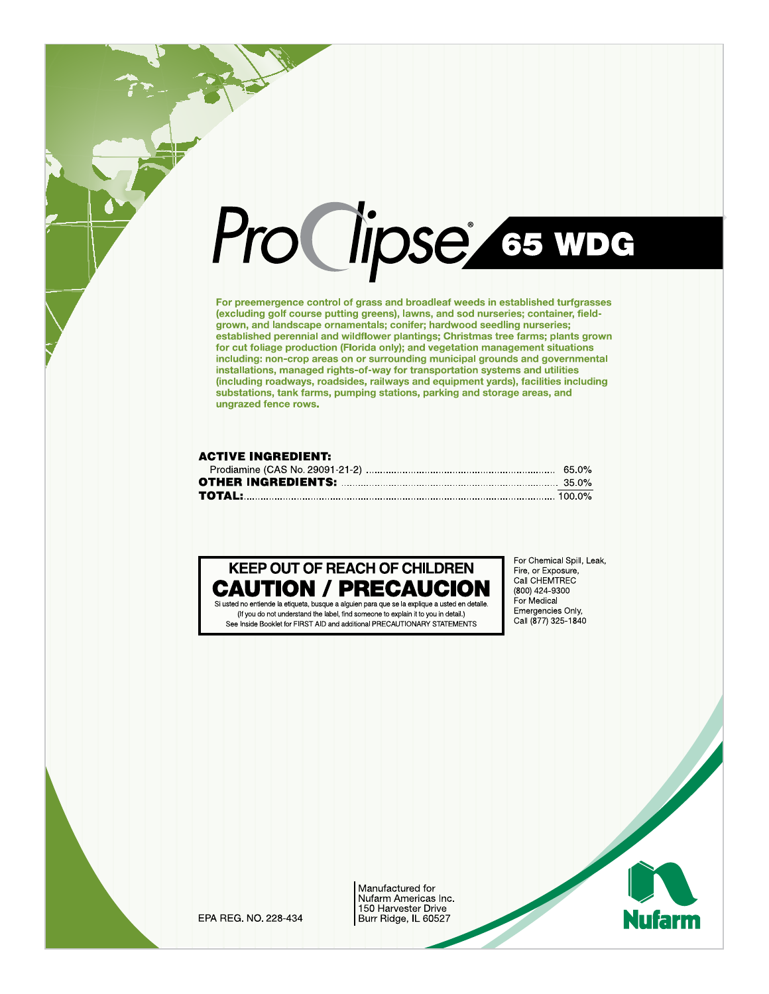# Pro Clipse es were

For preemergence control of grass and broadleaf weeds in established turfgrasses (excluding golf course putting greens), lawns, and sod nurseries; container, fieldgrown, and landscape ornamentals; conifer; hardwood seedling nurseries; established perennial and wildflower plantings; Christmas tree farms; plants grown for cut foliage production (Florida only); and vegetation management situations including: non-crop areas on or surrounding municipal grounds and governmental installations, managed rights-of-way for transportation systems and utilities (including roadways, roadsides, railways and equipment yards), facilities including substations, tank farms, pumping stations, parking and storage areas, and ungrazed fence rows.

# **ACTIVE INGREDIENT:**

# **KEEP OUT OF REACH OF CHILDREN CAUTION / PRECAUC**

Si usted no entiende la etiqueta, busque a alguien para que se la explique a usted en detalle. (If you do not understand the label, find someone to explain it to you in detail.) See Inside Booklet for FIRST AID and additional PRECAUTIONARY STATEMENTS

For Chemical Spill, Leak, Fire, or Exposure, Call CHEMTREC (800) 424-9300 For Medical Emergencies Only. Call (877) 325-1840

EPA REG. NO. 228-434

Manufactured for Nufarm Americas Inc. 150 Harvester Drive Burr Ridge, IL 60527

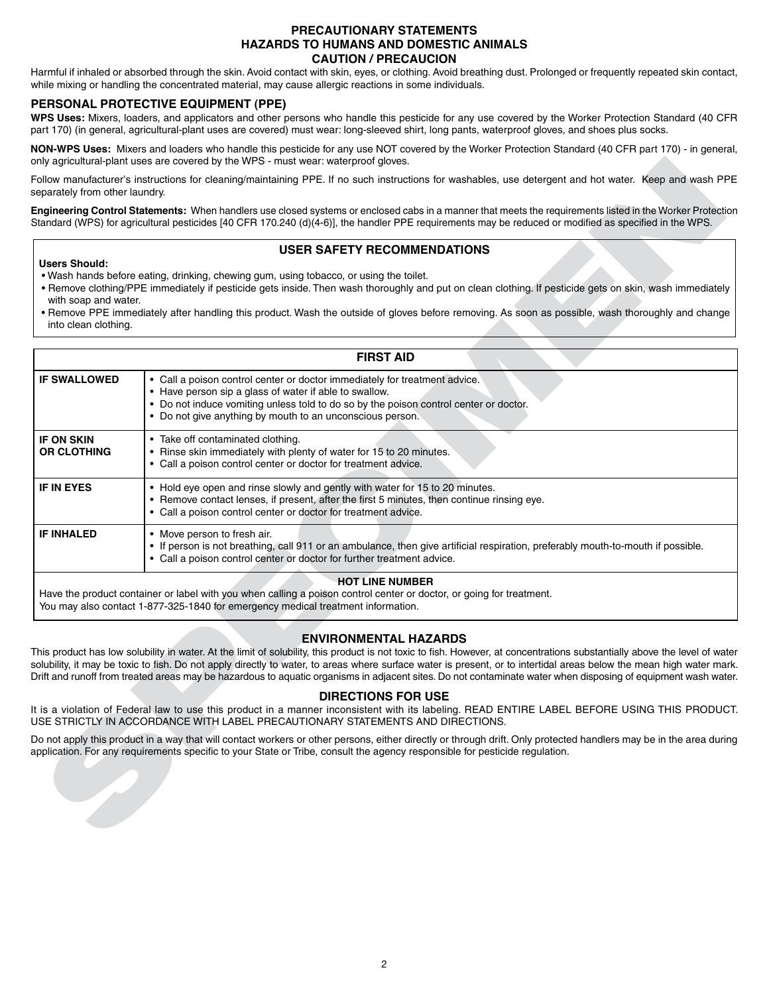# **PRECAUTIONARY STATEMENTS HAZARDS TO HUMANS AND DOMESTIC ANIMALS CAUTION / PRECAUCION**

Harmful if inhaled or absorbed through the skin. Avoid contact with skin, eyes, or clothing. Avoid breathing dust. Prolonged or frequently repeated skin contact, while mixing or handling the concentrated material, may cause allergic reactions in some individuals.

# **PERSONAL PROTECTIVE EQUIPMENT (PPE)**

**WPS Uses:** Mixers, loaders, and applicators and other persons who handle this pesticide for any use covered by the Worker Protection Standard (40 CFR part 170) (in general, agricultural-plant uses are covered) must wear: long-sleeved shirt, long pants, waterproof gloves, and shoes plus socks.

**NON-WPS Uses:** Mixers and loaders who handle this pesticide for any use NOT covered by the Worker Protection Standard (40 CFR part 170) - in general, only agricultural-plant uses are covered by the WPS - must wear: waterproof gloves.

# **USER SAFETY RECOMMENDATIONS**

# **Users Should:**

- Wash hands before eating, drinking, chewing gum, using tobacco, or using the toilet.
- Remove clothing/PPE immediately if pesticide gets inside. Then wash thoroughly and put on clean clothing. If pesticide gets on skin, wash immediately with soap and water.
- Remove PPE immediately after handling this product. Wash the outside of gloves before removing. As soon as possible, wash thoroughly and change into clean clothing.

|                                                                      | only agricultural-plant uses are covered by the WPS - must wear: waterproof gloves.                                                                                                                                                                                                                                                                                                                                                                                                                                                                                                                                                                                                                                                                                                                                                                                                                                                                                                    |
|----------------------------------------------------------------------|----------------------------------------------------------------------------------------------------------------------------------------------------------------------------------------------------------------------------------------------------------------------------------------------------------------------------------------------------------------------------------------------------------------------------------------------------------------------------------------------------------------------------------------------------------------------------------------------------------------------------------------------------------------------------------------------------------------------------------------------------------------------------------------------------------------------------------------------------------------------------------------------------------------------------------------------------------------------------------------|
| separately from other laundry.                                       | Follow manufacturer's instructions for cleaning/maintaining PPE. If no such instructions for washables, use detergent and hot water. Keep and wash PPE                                                                                                                                                                                                                                                                                                                                                                                                                                                                                                                                                                                                                                                                                                                                                                                                                                 |
|                                                                      | Engineering Control Statements: When handlers use closed systems or enclosed cabs in a manner that meets the requirements listed in the Worker Protectior<br>Standard (WPS) for agricultural pesticides [40 CFR 170.240 (d)(4-6)], the handler PPE requirements may be reduced or modified as specified in the WPS.                                                                                                                                                                                                                                                                                                                                                                                                                                                                                                                                                                                                                                                                    |
| <b>Users Should:</b><br>with soap and water.<br>into clean clothing. | <b>USER SAFETY RECOMMENDATIONS</b><br>. Wash hands before eating, drinking, chewing gum, using tobacco, or using the toilet.<br>. Remove clothing/PPE immediately if pesticide gets inside. Then wash thoroughly and put on clean clothing. If pesticide gets on skin, wash immediately<br>. Remove PPE immediately after handling this product. Wash the outside of gloves before removing. As soon as possible, wash thoroughly and change                                                                                                                                                                                                                                                                                                                                                                                                                                                                                                                                           |
|                                                                      | <b>FIRST AID</b>                                                                                                                                                                                                                                                                                                                                                                                                                                                                                                                                                                                                                                                                                                                                                                                                                                                                                                                                                                       |
| <b>IF SWALLOWED</b>                                                  | • Call a poison control center or doctor immediately for treatment advice.<br>• Have person sip a glass of water if able to swallow.<br>• Do not induce vomiting unless told to do so by the poison control center or doctor.<br>• Do not give anything by mouth to an unconscious person.                                                                                                                                                                                                                                                                                                                                                                                                                                                                                                                                                                                                                                                                                             |
| <b>IF ON SKIN</b><br><b>OR CLOTHING</b>                              | • Take off contaminated clothing.<br>• Rinse skin immediately with plenty of water for 15 to 20 minutes.<br>• Call a poison control center or doctor for treatment advice.                                                                                                                                                                                                                                                                                                                                                                                                                                                                                                                                                                                                                                                                                                                                                                                                             |
| <b>IF IN EYES</b>                                                    | • Hold eye open and rinse slowly and gently with water for 15 to 20 minutes.<br>• Remove contact lenses, if present, after the first 5 minutes, then continue rinsing eye.<br>• Call a poison control center or doctor for treatment advice.                                                                                                                                                                                                                                                                                                                                                                                                                                                                                                                                                                                                                                                                                                                                           |
| <b>IF INHALED</b>                                                    | • Move person to fresh air.<br>. If person is not breathing, call 911 or an ambulance, then give artificial respiration, preferably mouth-to-mouth if possible.<br>• Call a poison control center or doctor for further treatment advice.                                                                                                                                                                                                                                                                                                                                                                                                                                                                                                                                                                                                                                                                                                                                              |
|                                                                      | <b>HOT LINE NUMBER</b><br>Have the product container or label with you when calling a poison control center or doctor, or going for treatment.<br>You may also contact 1-877-325-1840 for emergency medical treatment information.                                                                                                                                                                                                                                                                                                                                                                                                                                                                                                                                                                                                                                                                                                                                                     |
|                                                                      | <b>ENVIRONMENTAL HAZARDS</b><br>This product has low solubility in water. At the limit of solubility, this product is not toxic to fish. However, at concentrations substantially above the level of water<br>solubility, it may be toxic to fish. Do not apply directly to water, to areas where surface water is present, or to intertidal areas below the mean high water mark<br>Drift and runoff from treated areas may be hazardous to aquatic organisms in adjacent sites. Do not contaminate water when disposing of equipment wash water<br><b>DIRECTIONS FOR USE</b><br>It is a violation of Federal law to use this product in a manner inconsistent with its labeling. READ ENTIRE LABEL BEFORE USING THIS PRODUCT<br>USE STRICTLY IN ACCORDANCE WITH LABEL PRECAUTIONARY STATEMENTS AND DIRECTIONS.<br>Do not apply this product in a way that will contact workers or other persons, either directly or through drift. Only protected handlers may be in the area during |
|                                                                      | application. For any requirements specific to your State or Tribe, consult the agency responsible for pesticide regulation.                                                                                                                                                                                                                                                                                                                                                                                                                                                                                                                                                                                                                                                                                                                                                                                                                                                            |

# **ENVIRONMENTAL HAZARDS**

# **DIRECTIONS FOR USE**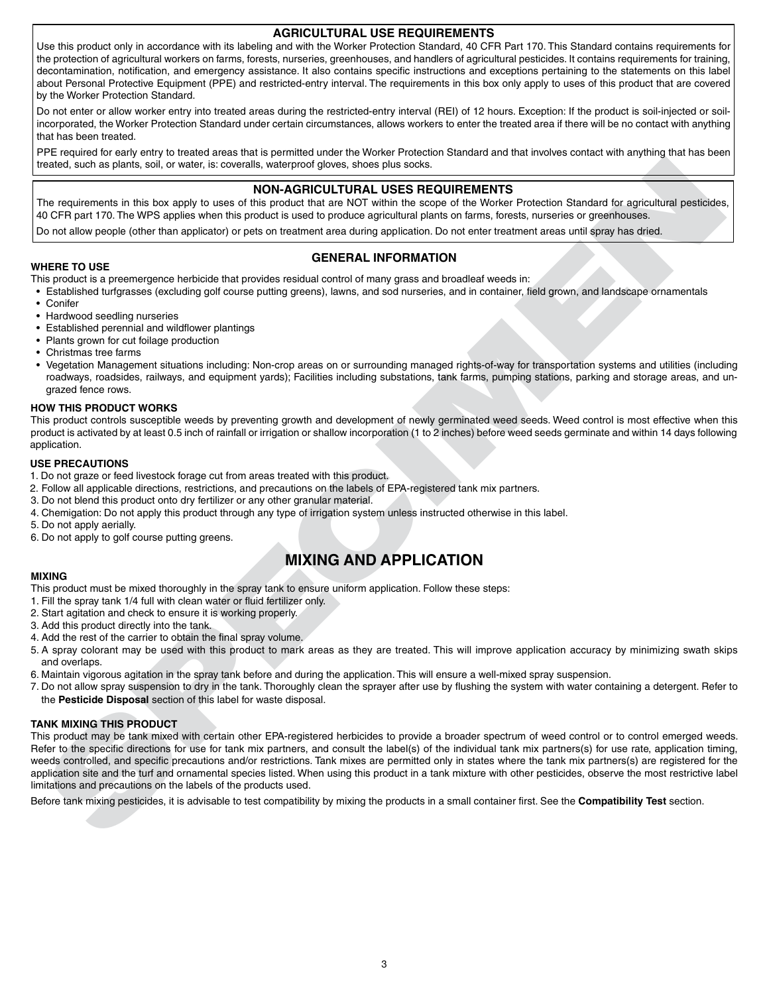# **AGRICULTURAL USE REQUIREMENTS**

Use this product only in accordance with its labeling and with the Worker Protection Standard, 40 CFR Part 170. This Standard contains requirements for the protection of agricultural workers on farms, forests, nurseries, greenhouses, and handlers of agricultural pesticides. It contains requirements for training, decontamination, notification, and emergency assistance. It also contains specific instructions and exceptions pertaining to the statements on this label about Personal Protective Equipment (PPE) and restricted-entry interval. The requirements in this box only apply to uses of this product that are covered by the Worker Protection Standard.

Do not enter or allow worker entry into treated areas during the restricted-entry interval (REI) of 12 hours. Exception: If the product is soil-injected or soilincorporated, the Worker Protection Standard under certain circumstances, allows workers to enter the treated area if there will be no contact with anything that has been treated.

PPE required for early entry to treated areas that is permitted under the Worker Protection Standard and that involves contact with anything that has been treated, such as plants, soil, or water, is: coveralls, waterproof gloves, shoes plus socks.

# **NON-AGRICULTURAL USES REQUIREMENTS**

The requirements in this box apply to uses of this product that are NOT within the scope of the Worker Protection Standard for agricultural pesticides, 40 CFR part 170. The WPS applies when this product is used to produce agricultural plants on farms, forests, nurseries or greenhouses.

Do not allow people (other than applicator) or pets on treatment area during application. Do not enter treatment areas until spray has dried.

# **GENERAL INFORMATION**

**WHERE TO USE** This product is a preemergence herbicide that provides residual control of many grass and broadleaf weeds in:

- Established turfgrasses (excluding golf course putting greens), lawns, and sod nurseries, and in container, field grown, and landscape ornamentals
- Conifer
- Hardwood seedling nurseries
- Established perennial and wildflower plantings
- Plants grown for cut foilage production
- Christmas tree farms
- Vegetation Management situations including: Non-crop areas on or surrounding managed rights-of-way for transportation systems and utilities (including roadways, roadsides, railways, and equipment yards); Facilities including substations, tank farms, pumping stations, parking and storage areas, and ungrazed fence rows.

#### **HOW THIS PRODUCT WORKS**

This product controls susceptible weeds by preventing growth and development of newly germinated weed seeds. Weed control is most effective when this product is activated by at least 0.5 inch of rainfall or irrigation or shallow incorporation (1 to 2 inches) before weed seeds germinate and within 14 days following application.

#### **USE PRECAUTIONS**

- 1. Do not graze or feed livestock forage cut from areas treated with this product.
- 2. Follow all applicable directions, restrictions, and precautions on the labels of EPA-registered tank mix partners.
- 3. Do not blend this product onto dry fertilizer or any other granular material.
- 4. Chemigation: Do not apply this product through any type of irrigation system unless instructed otherwise in this label.
- 5. Do not apply aerially.
- 6. Do not apply to golf course putting greens.

# **MIXING AND APPLICATION**

#### **MIXING**

This product must be mixed thoroughly in the spray tank to ensure uniform application. Follow these steps:

- 1. Fill the spray tank 1/4 full with clean water or fluid fertilizer only.
- 2. Start agitation and check to ensure it is working properly.
- 3. Add this product directly into the tank.
- 4. Add the rest of the carrier to obtain the final spray volume.
- 5. A spray colorant may be used with this product to mark areas as they are treated. This will improve application accuracy by minimizing swath skips and overlaps.
- 6. Maintain vigorous agitation in the spray tank before and during the application. This will ensure a well-mixed spray suspension.
- 7. Do not allow spray suspension to dry in the tank. Thoroughly clean the sprayer after use by flushing the system with water containing a detergent. Refer to the **Pesticide Disposal** section of this label for waste disposal.

#### **TANK MIXING THIS PRODUCT**

realist, such as principal, or views.<br>
The proposition of the state of the proposition of the medicine and solely realisting the state of the state of the state of the state of the state of the state of the state of the st This product may be tank mixed with certain other EPA-registered herbicides to provide a broader spectrum of weed control or to control emerged weeds. Refer to the specific directions for use for tank mix partners, and consult the label(s) of the individual tank mix partners(s) for use rate, application timing, weeds controlled, and specific precautions and/or restrictions. Tank mixes are permitted only in states where the tank mix partners(s) are registered for the application site and the turf and ornamental species listed. When using this product in a tank mixture with other pesticides, observe the most restrictive label limitations and precautions on the labels of the products used.

Before tank mixing pesticides, it is advisable to test compatibility by mixing the products in a small container first. See the **Compatibility Test** section.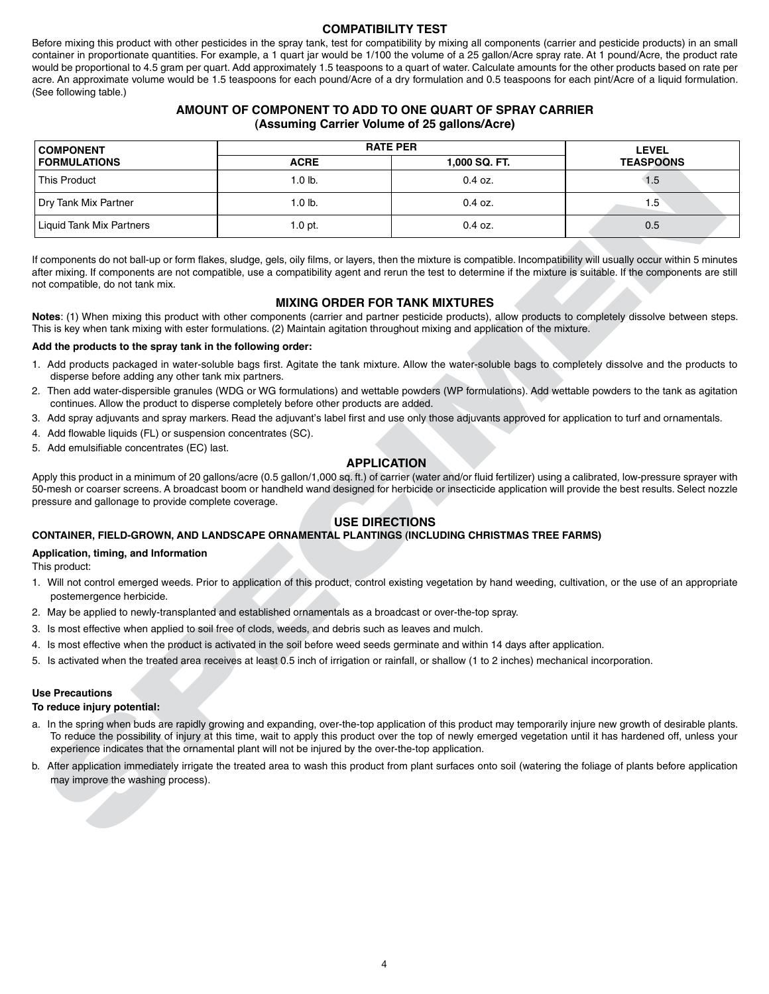# **COMPATIBILITY TEST**

Before mixing this product with other pesticides in the spray tank, test for compatibility by mixing all components (carrier and pesticide products) in an small container in proportionate quantities. For example, a 1 quart jar would be 1/100 the volume of a 25 gallon/Acre spray rate. At 1 pound/Acre, the product rate would be proportional to 4.5 gram per quart. Add approximately 1.5 teaspoons to a quart of water. Calculate amounts for the other products based on rate per acre. An approximate volume would be 1.5 teaspoons for each pound/Acre of a dry formulation and 0.5 teaspoons for each pint/Acre of a liquid formulation. (See following table.)

# **AMOUNT OF COMPONENT TO ADD TO ONE QUART OF SPRAY CARRIER (Assuming Carrier Volume of 25 gallons/Acre)**

| <b>RATE PER</b><br><b>COMPONENT</b>                                                                                                                                                                                                                                                                                                                                                                                                                                                                                                        |                                                                                                     |               | <b>LEVEL</b>                                                                                                                                                 |
|--------------------------------------------------------------------------------------------------------------------------------------------------------------------------------------------------------------------------------------------------------------------------------------------------------------------------------------------------------------------------------------------------------------------------------------------------------------------------------------------------------------------------------------------|-----------------------------------------------------------------------------------------------------|---------------|--------------------------------------------------------------------------------------------------------------------------------------------------------------|
| <b>FORMULATIONS</b>                                                                                                                                                                                                                                                                                                                                                                                                                                                                                                                        | <b>ACRE</b>                                                                                         | 1,000 SQ. FT. | <b>TEASPOONS</b>                                                                                                                                             |
| <b>This Product</b>                                                                                                                                                                                                                                                                                                                                                                                                                                                                                                                        | $1.0$ lb.                                                                                           | 0.4 oz.       | 1.5                                                                                                                                                          |
| Dry Tank Mix Partner                                                                                                                                                                                                                                                                                                                                                                                                                                                                                                                       | 1.0 lb.                                                                                             | 0.4 oz.       | 1.5                                                                                                                                                          |
| <b>Liquid Tank Mix Partners</b>                                                                                                                                                                                                                                                                                                                                                                                                                                                                                                            | $1.0$ pt.                                                                                           | $0.4$ oz.     | 0.5                                                                                                                                                          |
| If components do not ball-up or form flakes, sludge, gels, oily films, or layers, then the mixture is compatible. Incompatibility will usually occur within 5 minutes<br>after mixing. If components are not compatible, use a compatibility agent and rerun the test to determine if the mixture is suitable. If the components are still<br>not compatible, do not tank mix.<br>Notes: (1) When mixing this product with other components (carrier and partner pesticide products), allow products to completely dissolve between steps. | <b>MIXING ORDER FOR TANK MIXTURES</b>                                                               |               |                                                                                                                                                              |
| This is key when tank mixing with ester formulations. (2) Maintain agitation throughout mixing and application of the mixture.                                                                                                                                                                                                                                                                                                                                                                                                             |                                                                                                     |               |                                                                                                                                                              |
| Add the products to the spray tank in the following order:                                                                                                                                                                                                                                                                                                                                                                                                                                                                                 |                                                                                                     |               |                                                                                                                                                              |
| 1. Add products packaged in water-soluble bags first. Agitate the tank mixture. Allow the water-soluble bags to completely dissolve and the products to<br>disperse before adding any other tank mix partners.                                                                                                                                                                                                                                                                                                                             |                                                                                                     |               |                                                                                                                                                              |
| 2. Then add water-dispersible granules (WDG or WG formulations) and wettable powders (WP formulations). Add wettable powders to the tank as agitation                                                                                                                                                                                                                                                                                                                                                                                      | continues. Allow the product to disperse completely before other products are added.                |               |                                                                                                                                                              |
| 3. Add spray adjuvants and spray markers. Read the adjuvant's label first and use only those adjuvants approved for application to turf and ornamentals.<br>4. Add flowable liquids (FL) or suspension concentrates (SC).                                                                                                                                                                                                                                                                                                                  |                                                                                                     |               |                                                                                                                                                              |
| 5. Add emulsifiable concentrates (EC) last.                                                                                                                                                                                                                                                                                                                                                                                                                                                                                                |                                                                                                     |               |                                                                                                                                                              |
| Apply this product in a minimum of 20 gallons/acre (0.5 gallon/1,000 sq. ft.) of carrier (water and/or fluid fertilizer) using a calibrated, low-pressure sprayer with<br>50-mesh or coarser screens. A broadcast boom or handheld wand designed for herbicide or insecticide application will provide the best results. Select nozzle<br>pressure and gallonage to provide complete coverage.                                                                                                                                             | <b>USE DIRECTIONS</b>                                                                               |               |                                                                                                                                                              |
| CONTAINER, FIELD-GROWN, AND LANDSCAPE ORNAMENTAL PLANTINGS (INCLUDING CHRISTMAS TREE FARMS)                                                                                                                                                                                                                                                                                                                                                                                                                                                |                                                                                                     |               |                                                                                                                                                              |
| Application, timing, and Information<br>This product:                                                                                                                                                                                                                                                                                                                                                                                                                                                                                      |                                                                                                     |               |                                                                                                                                                              |
| 1. Will not control emerged weeds. Prior to application of this product, control existing vegetation by hand weeding, cultivation, or the use of an appropriate<br>postemergence herbicide.                                                                                                                                                                                                                                                                                                                                                |                                                                                                     |               |                                                                                                                                                              |
| 2. May be applied to newly-transplanted and established ornamentals as a broadcast or over-the-top spray.                                                                                                                                                                                                                                                                                                                                                                                                                                  |                                                                                                     |               |                                                                                                                                                              |
| 3. Is most effective when applied to soil free of clods, weeds, and debris such as leaves and mulch.                                                                                                                                                                                                                                                                                                                                                                                                                                       |                                                                                                     |               |                                                                                                                                                              |
| 4. Is most effective when the product is activated in the soil before weed seeds germinate and within 14 days after application.                                                                                                                                                                                                                                                                                                                                                                                                           |                                                                                                     |               |                                                                                                                                                              |
| 5. Is activated when the treated area receives at least 0.5 inch of irrigation or rainfall, or shallow (1 to 2 inches) mechanical incorporation.                                                                                                                                                                                                                                                                                                                                                                                           |                                                                                                     |               |                                                                                                                                                              |
| <b>Use Precautions</b><br>To reduce injury potential:                                                                                                                                                                                                                                                                                                                                                                                                                                                                                      |                                                                                                     |               |                                                                                                                                                              |
| a. In the spring when buds are rapidly growing and expanding, over-the-top application of this product may temporarily injure new growth of desirable plants.                                                                                                                                                                                                                                                                                                                                                                              | experience indicates that the ornamental plant will not be injured by the over-the-top application. |               | To reduce the possibility of injury at this time, wait to apply this product over the top of newly emerged vegetation until it has hardened off, unless your |
| b. After application immediately irrigate the treated area to wash this product from plant surfaces onto soil (watering the foliage of plants before application<br>may improve the washing process).                                                                                                                                                                                                                                                                                                                                      |                                                                                                     |               |                                                                                                                                                              |
|                                                                                                                                                                                                                                                                                                                                                                                                                                                                                                                                            |                                                                                                     |               |                                                                                                                                                              |

# **MIXING ORDER FOR TANK MIXTURES**

## **Add the products to the spray tank in the following order:**

- 1. Add products packaged in water-soluble bags first. Agitate the tank mixture. Allow the water-soluble bags to completely dissolve and the products to disperse before adding any other tank mix partners.
- 2. Then add water-dispersible granules (WDG or WG formulations) and wettable powders (WP formulations). Add wettable powders to the tank as agitation continues. Allow the product to disperse completely before other products are added.
- 3. Add spray adjuvants and spray markers. Read the adjuvant's label first and use only those adjuvants approved for application to turf and ornamentals.
- 4. Add flowable liquids (FL) or suspension concentrates (SC).
- 5. Add emulsifiable concentrates (EC) last.

# **APPLICATION**

# **USE DIRECTIONS**

# **CONTAINER, FIELD-GROWN, AND LANDSCAPE ORNAMENTAL PLANTINGS (INCLUDING CHRISTMAS TREE FARMS)**

#### **Application, timing, and Information**

- 1. Will not control emerged weeds. Prior to application of this product, control existing vegetation by hand weeding, cultivation, or the use of an appropriate postemergence herbicide.
- 2. May be applied to newly-transplanted and established ornamentals as a broadcast or over-the-top spray.
- 3. Is most effective when applied to soil free of clods, weeds, and debris such as leaves and mulch.
- 4. Is most effective when the product is activated in the soil before weed seeds germinate and within 14 days after application.
- 5. Is activated when the treated area receives at least 0.5 inch of irrigation or rainfall, or shallow (1 to 2 inches) mechanical incorporation.

#### **Use Precautions**

#### **To reduce injury potential:**

- a. In the spring when buds are rapidly growing and expanding, over-the-top application of this product may temporarily injure new growth of desirable plants. To reduce the possibility of injury at this time, wait to apply this product over the top of newly emerged vegetation until it has hardened off, unless your experience indicates that the ornamental plant will not be injured by the over-the-top application.
- b. After application immediately irrigate the treated area to wash this product from plant surfaces onto soil (watering the foliage of plants before application may improve the washing process).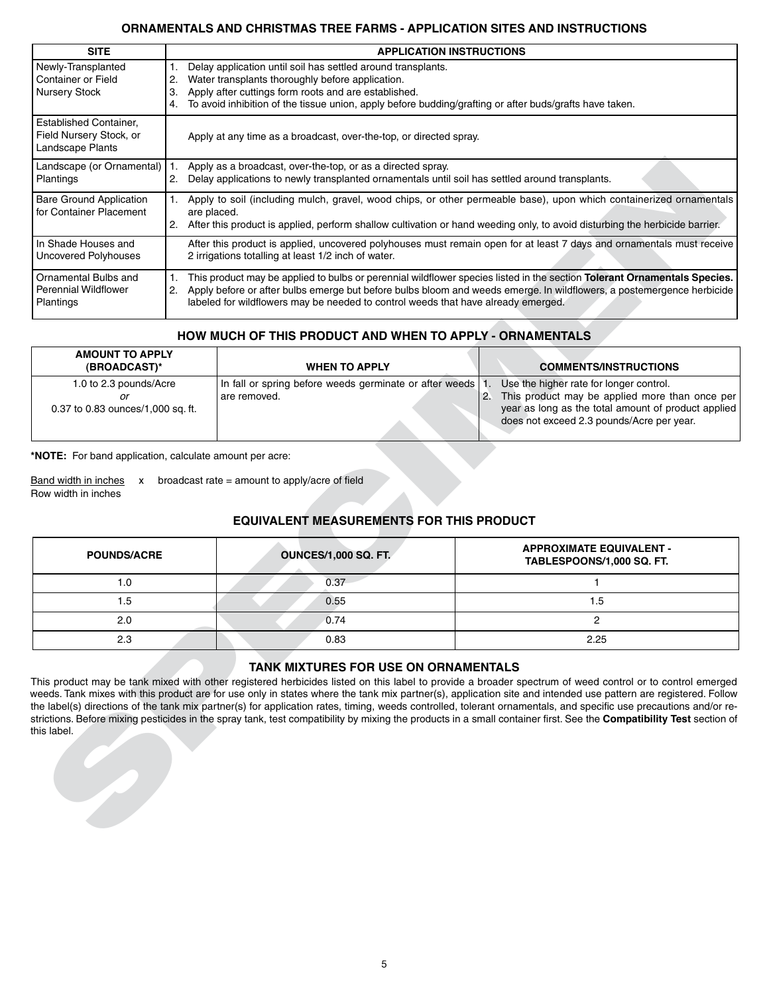# **ORNAMENTALS AND CHRISTMAS TREE FARMS - APPLICATION SITES AND INSTRUCTIONS**

| Newly-Transplanted<br>Container or Field                              | <b>APPLICATION INSTRUCTIONS</b>                                                                                                                                                                                                                                                                             |                                                                                                                                                                                                                                                                                                                                        |                                                                                                                                                                                                           |  |  |
|-----------------------------------------------------------------------|-------------------------------------------------------------------------------------------------------------------------------------------------------------------------------------------------------------------------------------------------------------------------------------------------------------|----------------------------------------------------------------------------------------------------------------------------------------------------------------------------------------------------------------------------------------------------------------------------------------------------------------------------------------|-----------------------------------------------------------------------------------------------------------------------------------------------------------------------------------------------------------|--|--|
| <b>Nursery Stock</b>                                                  | Delay application until soil has settled around transplants.<br>1.<br>Water transplants thoroughly before application.<br>2.<br>Apply after cuttings form roots and are established.<br>3.<br>To avoid inhibition of the tissue union, apply before budding/grafting or after buds/grafts have taken.<br>4. |                                                                                                                                                                                                                                                                                                                                        |                                                                                                                                                                                                           |  |  |
| Established Container,<br>Field Nursery Stock, or<br>Landscape Plants |                                                                                                                                                                                                                                                                                                             | Apply at any time as a broadcast, over-the-top, or directed spray.                                                                                                                                                                                                                                                                     |                                                                                                                                                                                                           |  |  |
| Landscape (or Ornamental)<br>Plantings                                | 1.                                                                                                                                                                                                                                                                                                          | Apply as a broadcast, over-the-top, or as a directed spray.<br>2. Delay applications to newly transplanted ornamentals until soil has settled around transplants.                                                                                                                                                                      |                                                                                                                                                                                                           |  |  |
| <b>Bare Ground Application</b><br>for Container Placement             | 1.<br>are placed.                                                                                                                                                                                                                                                                                           | Apply to soil (including mulch, gravel, wood chips, or other permeable base), upon which containerized ornamentals<br>2. After this product is applied, perform shallow cultivation or hand weeding only, to avoid disturbing the herbicide barrier.                                                                                   |                                                                                                                                                                                                           |  |  |
| In Shade Houses and<br><b>Uncovered Polyhouses</b>                    |                                                                                                                                                                                                                                                                                                             | After this product is applied, uncovered polyhouses must remain open for at least 7 days and ornamentals must receive<br>2 irrigations totalling at least 1/2 inch of water.                                                                                                                                                           |                                                                                                                                                                                                           |  |  |
| Ornamental Bulbs and<br><b>Perennial Wildflower</b><br>Plantings      | 1.<br>2.                                                                                                                                                                                                                                                                                                    | This product may be applied to bulbs or perennial wildflower species listed in the section Tolerant Ornamentals Species.<br>Apply before or after bulbs emerge but before bulbs bloom and weeds emerge. In wildflowers, a postemergence herbicide<br>labeled for wildflowers may be needed to control weeds that have already emerged. |                                                                                                                                                                                                           |  |  |
|                                                                       |                                                                                                                                                                                                                                                                                                             | <b>HOW MUCH OF THIS PRODUCT AND WHEN TO APPLY - ORNAMENTALS</b>                                                                                                                                                                                                                                                                        |                                                                                                                                                                                                           |  |  |
| <b>AMOUNT TO APPLY</b><br>(BROADCAST)*                                |                                                                                                                                                                                                                                                                                                             | <b>WHEN TO APPLY</b>                                                                                                                                                                                                                                                                                                                   | <b>COMMENTS/INSTRUCTIONS</b>                                                                                                                                                                              |  |  |
| 1.0 to 2.3 pounds/Acre<br>or<br>0.37 to 0.83 ounces/1,000 sq. ft.     |                                                                                                                                                                                                                                                                                                             | In fall or spring before weeds germinate or after weeds<br>are removed.                                                                                                                                                                                                                                                                | 1.<br>Use the higher rate for longer control.<br>This product may be applied more than once per<br>2.<br>year as long as the total amount of product applied<br>does not exceed 2.3 pounds/Acre per year. |  |  |
| *NOTE: For band application, calculate amount per acre:               |                                                                                                                                                                                                                                                                                                             |                                                                                                                                                                                                                                                                                                                                        |                                                                                                                                                                                                           |  |  |
| Band width in inches<br>x<br>Row width in inches                      |                                                                                                                                                                                                                                                                                                             | broadcast rate = amount to apply/acre of field                                                                                                                                                                                                                                                                                         |                                                                                                                                                                                                           |  |  |
| <b>POUNDS/ACRE</b>                                                    |                                                                                                                                                                                                                                                                                                             | <b>EQUIVALENT MEASUREMENTS FOR THIS PRODUCT</b><br><b>OUNCES/1,000 SQ. FT.</b>                                                                                                                                                                                                                                                         | <b>APPROXIMATE EQUIVALENT -</b><br>TABLESPOONS/1,000 SQ. FT.                                                                                                                                              |  |  |
| 1.0                                                                   |                                                                                                                                                                                                                                                                                                             | 0.37                                                                                                                                                                                                                                                                                                                                   | 1                                                                                                                                                                                                         |  |  |
| 1.5                                                                   |                                                                                                                                                                                                                                                                                                             | 0.55                                                                                                                                                                                                                                                                                                                                   | 1.5                                                                                                                                                                                                       |  |  |
| 2.0                                                                   |                                                                                                                                                                                                                                                                                                             | 0.74                                                                                                                                                                                                                                                                                                                                   | $\overline{c}$                                                                                                                                                                                            |  |  |
| 2.3                                                                   |                                                                                                                                                                                                                                                                                                             | 0.83                                                                                                                                                                                                                                                                                                                                   | 2.25                                                                                                                                                                                                      |  |  |

# **HOW MUCH OF THIS PRODUCT AND WHEN TO APPLY - ORNAMENTALS**

| <b>AMOUNT TO APPLY</b><br>(BROADCAST)*                      | <b>WHEN TO APPLY</b>                                                       | <b>COMMENTS/INSTRUCTIONS</b>                                                                                                                                                                     |
|-------------------------------------------------------------|----------------------------------------------------------------------------|--------------------------------------------------------------------------------------------------------------------------------------------------------------------------------------------------|
| 1.0 to 2.3 pounds/Acre<br>0.37 to 0.83 ounces/1,000 sq. ft. | In fall or spring before weeds germinate or after weeds 1.<br>are removed. | Use the higher rate for longer control.<br>2. This product may be applied more than once per<br>year as long as the total amount of product applied<br>does not exceed 2.3 pounds/Acre per year. |

| Band width in inches | broadcast rate $=$ amount to apply/acre of field |
|----------------------|--------------------------------------------------|
| Row width in inches  |                                                  |

# **EQUIVALENT MEASUREMENTS FOR THIS PRODUCT**

| <b>POUNDS/ACRE</b> | <b>OUNCES/1,000 SQ. FT.</b> | <b>APPROXIMATE EQUIVALENT -</b><br>TABLESPOONS/1,000 SQ. FT. |
|--------------------|-----------------------------|--------------------------------------------------------------|
| 1.0                | 0.37                        |                                                              |
| l.5                | 0.55                        | .5                                                           |
| 2.0                | 0.74                        |                                                              |
| 2.3                | 0.83                        | 2.25                                                         |

# **TANK MIXTURES FOR USE ON ORNAMENTALS**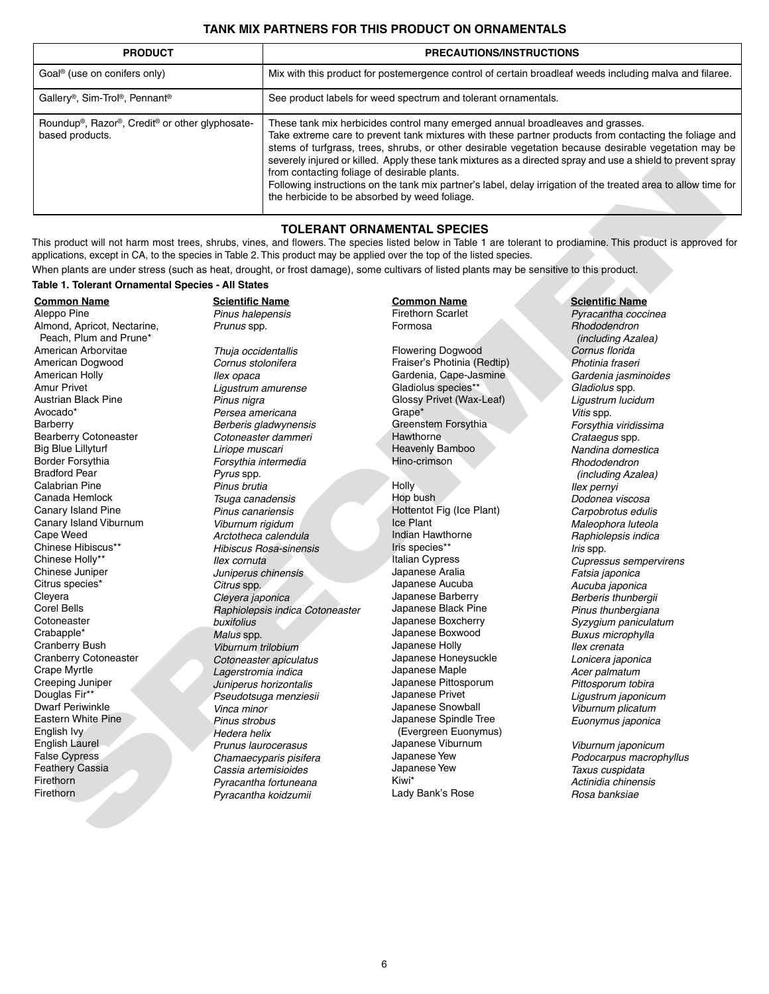# **TANK MIX PARTNERS FOR THIS PRODUCT ON ORNAMENTALS**

| <b>PRODUCT</b>                                                                 | <b>PRECAUTIONS/INSTRUCTIONS</b>                                                                                                                                                                                                                                                                                                                                                                                                                                                                                                                                                                                                    |
|--------------------------------------------------------------------------------|------------------------------------------------------------------------------------------------------------------------------------------------------------------------------------------------------------------------------------------------------------------------------------------------------------------------------------------------------------------------------------------------------------------------------------------------------------------------------------------------------------------------------------------------------------------------------------------------------------------------------------|
| Goal <sup>®</sup> (use on conifers only)                                       | Mix with this product for postemergence control of certain broadleaf weeds including malva and filaree.                                                                                                                                                                                                                                                                                                                                                                                                                                                                                                                            |
| Gallery®, Sim-Trol®, Pennant®                                                  | See product labels for weed spectrum and tolerant ornamentals.                                                                                                                                                                                                                                                                                                                                                                                                                                                                                                                                                                     |
| Roundup <sup>®</sup> , Razor®, Credit® or other glyphosate-<br>based products. | These tank mix herbicides control many emerged annual broadleaves and grasses.<br>Take extreme care to prevent tank mixtures with these partner products from contacting the foliage and<br>stems of turfgrass, trees, shrubs, or other desirable vegetation because desirable vegetation may be<br>severely injured or killed. Apply these tank mixtures as a directed spray and use a shield to prevent spray<br>from contacting foliage of desirable plants.<br>Following instructions on the tank mix partner's label, delay irrigation of the treated area to allow time for<br>the herbicide to be absorbed by weed foliage. |

# **TOLERANT ORNAMENTAL SPECIES**

This product will not harm most trees, shrubs, vines, and flowers. The species listed below in Table 1 are tolerant to prodiamine. This product is approved for applications, except in CA, to the species in Table 2. This product may be applied over the top of the listed species.

When plants are under stress (such as heat, drought, or frost damage), some cultivars of listed plants may be sensitive to this product.

#### **Table 1. Tolerant Ornamental Species - All States**

**Common Name** Aleppo Pine Almond, Apricot, Nectarine, Peach, Plum and Prune\* American Arborvitae American Dogwood American Holly Amur Privet Austrian Black Pine Avocado\* Barberry Bearberry Cotoneaster Big Blue Lillyturf Border Forsythia Bradford Pear Calabrian Pine Canada Hemlock Canary Island Pine Canary Island Viburnum Cape Weed Chinese Hibiscus\*\* Chinese Holly\*\* Chinese Juniper Citrus species\* **Clevera** Corel Bells **Cotoneaster** Crabapple\* Cranberry Bush Cranberry Cotoneaster Crape Myrtle Creeping Juniper Douglas Fir\*\* Dwarf Periwinkle Eastern White Pine English Ivy English Laurel False Cypress Feathery Cassia Firethorn Firethorn

**Scientific Name** Pinus halepensis Prunus spp.

Thuja occidentallis Cornus stolonifera Ilex opaca Ligustrum amurense Pinus nigra Persea americana Berberis gladwynensis Cotoneaster dammeri Liriope muscari Forsythia intermedia Pyrus spp. Pinus brutia Tsuga canadensis Pinus canariensis Viburnum rigidum Arctotheca calendula Hibiscus Rosa-sinensis Ilex cornuta Juniperus chinensis Citrus spp. Cleyera japonica Raphiolepsis indica Cotoneaster buxifolius Malus spp. Viburnum trilobium Cotoneaster apiculatus Lagerstromia indica Juniperus horizontalis Pseudotsuga menziesii Vinca minor Pinus strobus Hedera helix Prunus laurocerasus Chamaecyparis pisifera Cassia artemisioides Pyracantha fortuneana Pyracantha koidzumii SPECIMEN

# **Common Name**

Firethorn Scarlet Formosa

Flowering Dogwood Fraiser's Photinia (Redtip) Gardenia, Cape-Jasmine Gladiolus species\*\* Glossy Privet (Wax-Leaf) Grape\* Greenstem Forsythia Hawthorne Heavenly Bamboo Hino-crimson

**Holly** Hop bush Hottentot Fig (Ice Plant) Ice Plant Indian Hawthorne Iris species\*\* Italian Cypress Japanese Aralia Japanese Aucuba Japanese Barberry Japanese Black Pine Japanese Boxcherry Japanese Boxwood Japanese Holly Japanese Honeysuckle Japanese Maple Japanese Pittosporum Japanese Privet Japanese Snowball Japanese Spindle Tree (Evergreen Euonymus) Japanese Viburnum Japanese Yew Japanese Yew Kiwi\* Lady Bank's Rose

#### **Scientific Name**

Pyracantha coccinea Rhododendron (including Azalea) Cornus florida Photinia fraseri Gardenia jasminoides Gladiolus spp. Ligustrum lucidum Vitis spp. Forsythia viridissima Crataegus spp. Nandina domestica Rhododendron (including Azalea) Ilex pernyi Dodonea viscosa Carpobrotus edulis Maleophora luteola Raphiolepsis indica Iris spp. Cupressus sempervirens Fatsia japonica Aucuba japonica Berberis thunbergii Pinus thunbergiana Syzygium paniculatum Buxus microphylla Ilex crenata Lonicera japonica Acer palmatum Pittosporum tobira Ligustrum japonicum Viburnum plicatum Euonymus japonica

Viburnum japonicum Podocarpus macrophyllus Taxus cuspidata Actinidia chinensis Rosa banksiae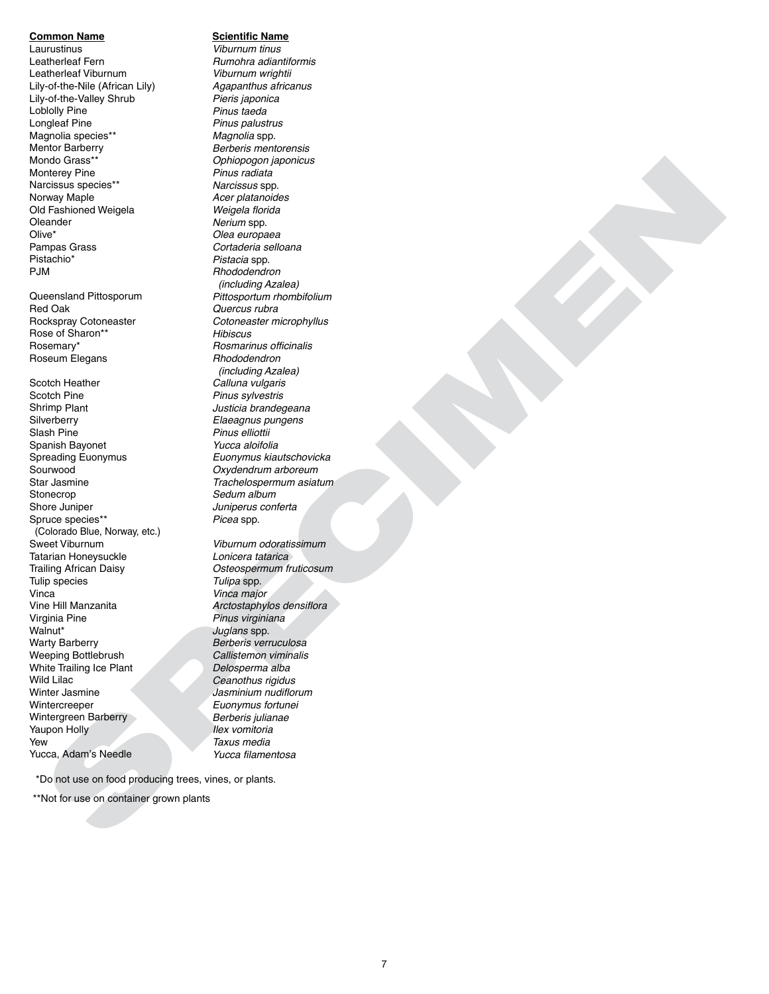#### **Common Name**

Laurustinus Leatherleaf Fern Leatherleaf Viburnum Lily-of-the-Nile (African Lily) Lily-of-the-Valley Shrub Loblolly Pine Longleaf Pine Magnolia species\*\* Mentor Barberry Mondo Grass\*\* Monterey Pine Narcissus species\*\* Norway Maple Old Fashioned Weigela Oleander Olive\* Pampas Grass Pistachio\* PJM

Queensland Pittosporum Red Oak Rockspray Cotoneaster Rose of Sharon\*\* Rosemary\* Roseum Elegans

Scotch Heather Scotch Pine Shrimp Plant **Silverberry** Slash Pine Spanish Bayonet Spreading Euonymus Sourwood Star Jasmine Stonecrop Shore Juniper Spruce species\*\* (Colorado Blue, Norway, etc.) Sweet Viburnum Tatarian Honeysuckle Trailing African Daisy Tulip species Vinca Vine Hill Manzanita Virginia Pine Walnut\* Warty Barberry Weeping Bottlebrush White Trailing Ice Plant Wild Lilac Winter Jasmine Wintercreeper Wintergreen Barberry Yaupon Holly Yew Yucca, Adam's Needle

# **Scientific Name**

or all bings of the context of the context of the context of the context of the context of the context of the context of the context of the context of the context of the context of the context of the context of the cont Viburnum tinus Rumohra adiantiformis Viburnum wrightii Agapanthus africanus Pieris japonica Pinus taeda Pinus palustrus Magnolia spp. Berberis mentorensis Ophiopogon japonicus Pinus radiata Narcissus spp. Acer platanoides Weigela florida Nerium spp. Olea europaea Cortaderia selloana Pistacia spp. Rhododendron (including Azalea) Pittosportum rhombifolium Quercus rubra Cotoneaster microphyllus Hibiscus Rosmarinus officinalis Rhododendron (including Azalea) Calluna vulgaris Pinus sylvestris Justicia brandegeana Elaeagnus pungens Pinus elliottii Yucca aloifolia Euonymus kiautschovicka Oxydendrum arboreum Trachelospermum asiatum Sedum album Juniperus conferta Picea spp.

Viburnum odoratissimum Lonicera tatarica Osteospermum fruticosum Tulipa spp. Vinca major Arctostaphylos densiflora Pinus virginiana Juglans spp. Berberis verruculosa Callistemon viminalis Delosperma alba Ceanothus rigidus Jasminium nudiflorum Euonymus fortunei Berberis julianae Ilex vomitoria Taxus media Yucca filamentosa

\*Do not use on food producing trees, vines, or plants.

\*\*Not for use on container grown plants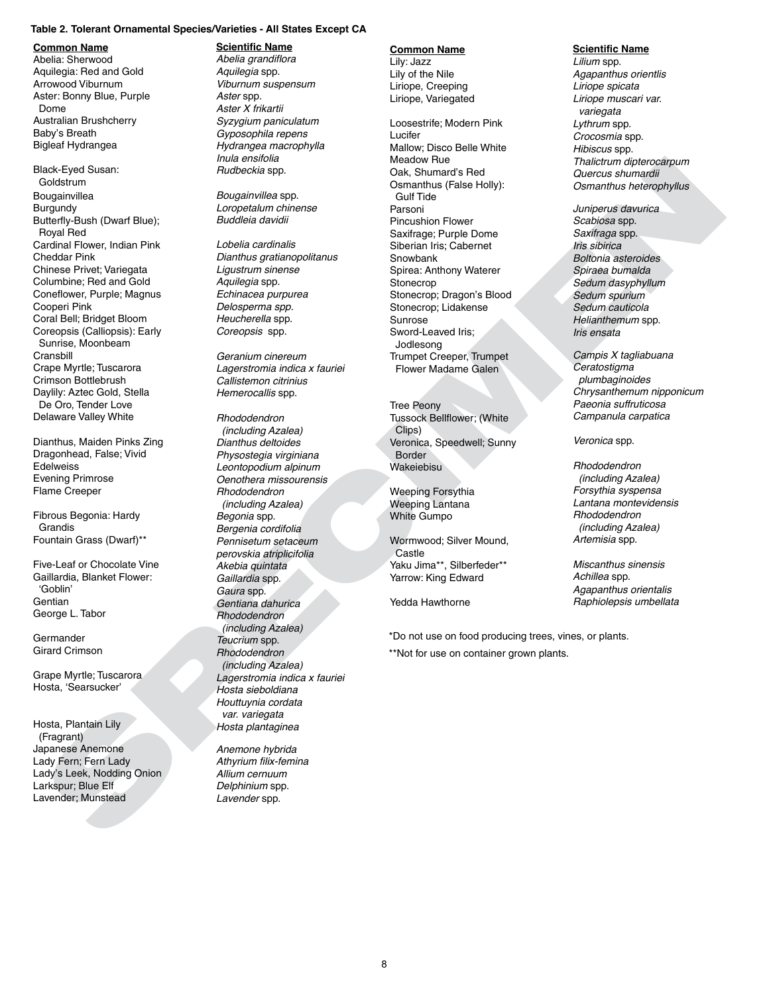#### **Table 2. Tolerant Ornamental Species/Varieties - All States Except CA**

#### **Common Name**

Abelia: Sherwood Aquilegia: Red and Gold Arrowood Viburnum Aster: Bonny Blue, Purple Dome Australian Brushcherry Baby's Breath Bigleaf Hydrangea

Black-Eyed Susan: Goldstrum **Bougainvillea** Burgundy Butterfly-Bush (Dwarf Blue); Royal Red Cardinal Flower, Indian Pink Cheddar Pink Chinese Privet; Variegata Columbine; Red and Gold Coneflower, Purple; Magnus Cooperi Pink Coral Bell; Bridget Bloom Coreopsis (Calliopsis): Early Sunrise, Moonbeam **Cransbill** Crape Myrtle; Tuscarora Crimson Bottlebrush Daylily: Aztec Gold, Stella De Oro, Tender Love Delaware Valley White

Dianthus, Maiden Pinks Zing Dragonhead, False; Vivid **Edelweiss** Evening Primrose Flame Creeper

Fibrous Begonia: Hardy Grandis Fountain Grass (Dwarf)\*\*

Five-Leaf or Chocolate Vine Gaillardia, Blanket Flower: 'Goblin' **Gentian** George L. Tabor

Germander Girard Crimson

Grape Myrtle; Tuscarora Hosta, 'Searsucker'

Hosta, Plantain Lily (Fragrant) Japanese Anemone Lady Fern; Fern Lady Lady's Leek, Nodding Onion Larkspur; Blue Elf Lavender; Munstead

#### **Scientific Name**

Abelia grandiflora Aquilegia spp. Viburnum suspensum Aster spp. Aster X frikartii Syzygium paniculatum Gyposophila repens Hydrangea macrophylla Inula ensifolia Rudbeckia spp.

Bougainvillea spp. Loropetalum chinense Buddleia davidii

Lobelia cardinalis Dianthus gratianopolitanus Ligustrum sinense Aquilegia spp. Echinacea purpurea Delosperma spp. Heucherella spp. Coreopsis spp.

Geranium cinereum Lagerstromia indica x fauriei Callistemon citrinius Hemerocallis spp.

**Hotel Contains in the contents of the contents of the state of the state of the state of the contents of the contents of the contents of the contents of the contents of the contents of the contents of the contents of th** Rhododendron (including Azalea) Dianthus deltoides Physostegia virginiana Leontopodium alpinum Oenothera missourensis Rhododendron (including Azalea) Begonia spp. Bergenia cordifolia Pennisetum setaceum perovskia atriplicifolia Akebia quintata Gaillardia spp. Gaura spp. Gentiana dahurica Rhododendron (including Azalea) Teucrium spp. Rhododendron (including Azalea) Lagerstromia indica x fauriei Hosta sieboldiana Houttuynia cordata var. variegata Hosta plantaginea

Anemone hybrida Athyrium filix-femina Allium cernuum Delphinium spp. Lavender spp.

# **Common Name**

Lily: Jazz Lily of the Nile Liriope, Creeping Liriope, Variegated

Loosestrife; Modern Pink Lucifer Mallow; Disco Belle White Meadow Rue Oak, Shumard's Red Osmanthus (False Holly): Gulf Tide Parsoni Pincushion Flower Saxifrage; Purple Dome Siberian Iris; Cabernet Snowbank Spirea: Anthony Waterer Stonecrop Stonecrop; Dragon's Blood Stonecrop; Lidakense Sunrose Sword-Leaved Iris; Jodlesong Trumpet Creeper, Trumpet Flower Madame Galen

Tree Peony Tussock Bellflower; (White Clips) Veronica, Speedwell; Sunny Border Wakeiebisu

Weeping Forsythia Weeping Lantana White Gumpo

Wormwood; Silver Mound, Castle Yaku Jima\*\*, Silberfeder\*\* Yarrow: King Edward

Yedda Hawthorne

\*Do not use on food producing trees, vines, or plants. \*\*Not for use on container grown plants.

#### **Scientific Name**

Lilium spp. Agapanthus orientlis Liriope spicata Liriope muscari var. variegata Lythrum spp. Crocosmia spp. Hibiscus spp. Thalictrum dipterocarpum Quercus shumardii Osmanthus heterophyllus

Juniperus davurica Scabiosa spp. Saxifraga spp. Iris sibirica Boltonia asteroides Spiraea bumalda Sedum dasyphyllum Sedum spurium Sedum cauticola Helianthemum spp. Iris ensata

Campis X tagliabuana **Ceratostigma** plumbaginoides Chrysanthemum nipponicum Paeonia suffruticosa Campanula carpatica

Veronica spp.

Rhododendron (including Azalea) Forsythia syspensa Lantana montevidensis Rhododendron (including Azalea) Artemisia spp.

Miscanthus sinensis Achillea spp. Agapanthus orientalis Raphiolepsis umbellata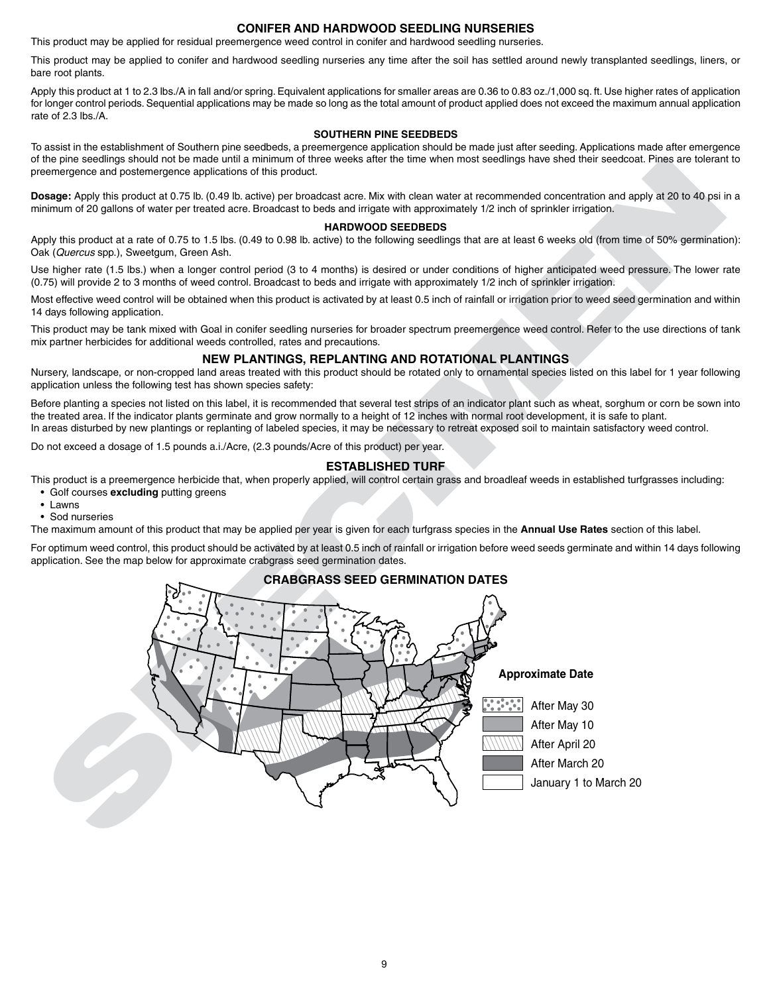# **CONIFER AND HARDWOOD SEEDLING NURSERIES**

This product may be applied for residual preemergence weed control in conifer and hardwood seedling nurseries.

This product may be applied to conifer and hardwood seedling nurseries any time after the soil has settled around newly transplanted seedlings, liners, or bare root plants.

Apply this product at 1 to 2.3 lbs./A in fall and/or spring. Equivalent applications for smaller areas are 0.36 to 0.83 oz./1,000 sq. ft. Use higher rates of application for longer control periods. Sequential applications may be made so long as the total amount of product applied does not exceed the maximum annual application rate of 2.3 lbs./A.

# **SOUTHERN PINE SEEDBEDS**

To assist in the establishment of Southern pine seedbeds, a preemergence application should be made just after seeding. Applications made after emergence of the pine seedlings should not be made until a minimum of three weeks after the time when most seedlings have shed their seedcoat. Pines are tolerant to preemergence and postemergence applications of this product.

**Dosage:** Apply this product at 0.75 lb. (0.49 lb. active) per broadcast acre. Mix with clean water at recommended concentration and apply at 20 to 40 psi in a minimum of 20 gallons of water per treated acre. Broadcast to beds and irrigate with approximately 1/2 inch of sprinkler irrigation.

#### **HARDWOOD SEEDBEDS**

Apply this product at a rate of 0.75 to 1.5 lbs. (0.49 to 0.98 lb. active) to the following seedlings that are at least 6 weeks old (from time of 50% germination): Oak (Quercus spp.), Sweetgum, Green Ash.

Use higher rate (1.5 lbs.) when a longer control period (3 to 4 months) is desired or under conditions of higher anticipated weed pressure. The lower rate (0.75) will provide 2 to 3 months of weed control. Broadcast to beds and irrigate with approximately 1/2 inch of sprinkler irrigation.

Most effective weed control will be obtained when this product is activated by at least 0.5 inch of rainfall or irrigation prior to weed seed germination and within 14 days following application.

This product may be tank mixed with Goal in conifer seedling nurseries for broader spectrum preemergence weed control. Refer to the use directions of tank mix partner herbicides for additional weeds controlled, rates and precautions.

# **NEW PLANTINGS, REPLANTING AND ROTATIONAL PLANTINGS**

Nursery, landscape, or non-cropped land areas treated with this product should be rotated only to ornamental species listed on this label for 1 year following application unless the following test has shown species safety:

Before planting a species not listed on this label, it is recommended that several test strips of an indicator plant such as wheat, sorghum or corn be sown into the treated area. If the indicator plants germinate and grow normally to a height of 12 inches with normal root development, it is safe to plant.

In areas disturbed by new plantings or replanting of labeled species, it may be necessary to retreat exposed soil to maintain satisfactory weed control.

Do not exceed a dosage of 1.5 pounds a.i./Acre, (2.3 pounds/Acre of this product) per year.

# **ESTABLISHED TURF**

This product is a preemergence herbicide that, when properly applied, will control certain grass and broadleaf weeds in established turfgrasses including: • Golf courses **excluding** putting greens

- Lawns
- Sod nurseries

The maximum amount of this product that may be applied per year is given for each turfgrass species in the **Annual Use Rates** section of this label.

For optimum weed control, this product should be activated by at least 0.5 inch of rainfall or irrigation before weed seeds germinate and within 14 days following **C** application. See the map below for approximate crabgrass seed germination dates.

# **CRABGRASS SEED GERMINATION DATES**

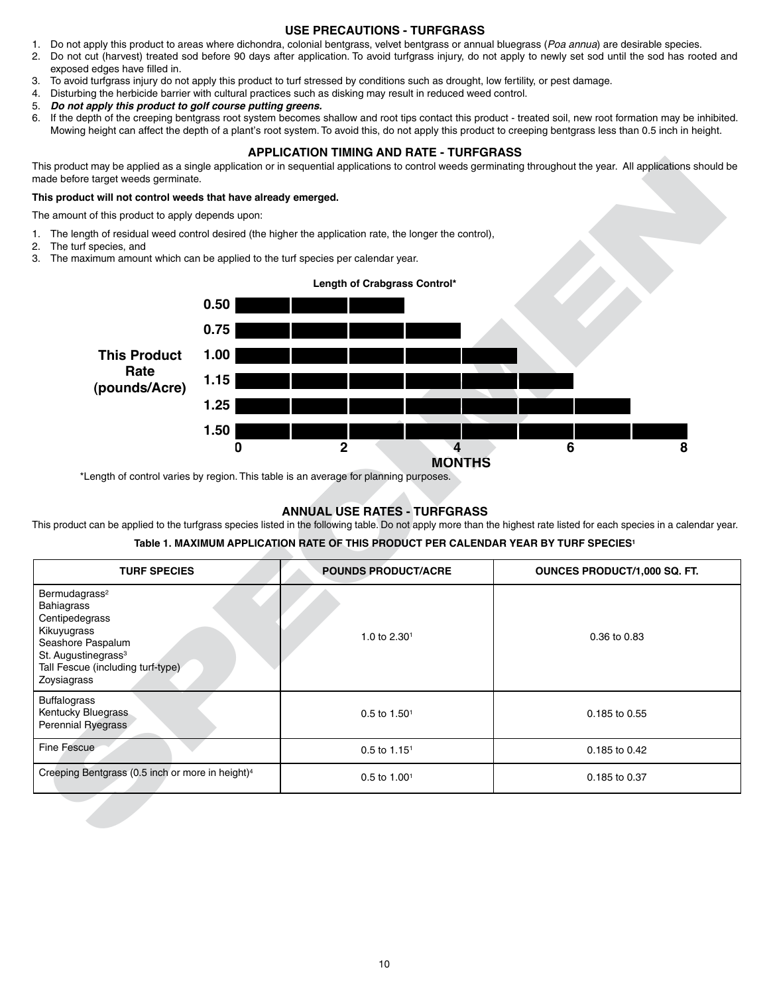# **USE PRECAUTIONS - TURFGRASS**

- 1. Do not apply this product to areas where dichondra, colonial bentgrass, velvet bentgrass or annual bluegrass (Poa annua) are desirable species.
- 2. Do not cut (harvest) treated sod before 90 days after application. To avoid turfgrass injury, do not apply to newly set sod until the sod has rooted and exposed edges have filled in.
- 3. To avoid turfgrass injury do not apply this product to turf stressed by conditions such as drought, low fertility, or pest damage.
- 4. Disturbing the herbicide barrier with cultural practices such as disking may result in reduced weed control.
- 5. **Do not apply this product to golf course putting greens.**
- 6. If the depth of the creeping bentgrass root system becomes shallow and root tips contact this product treated soil, new root formation may be inhibited. Mowing height can affect the depth of a plant's root system. To avoid this, do not apply this product to creeping bentgrass less than 0.5 inch in height.

# **APPLICATION TIMING AND RATE - TURFGRASS**

#### **This product will not control weeds that have already emerged.**

- 1. The length of residual weed control desired (the higher the application rate, the longer the control),
- 2. The turf species, and
- 3. The maximum amount which can be applied to the turf species per calendar year.



# **ANNUAL USE RATES - TURFGRASS**

# **Table 1. MAXIMUM APPLICATION RATE OF THIS PRODUCT PER CALENDAR YEAR BY TURF SPECIES1**

| made before target weeds germinate.                                                                                                                                                  |           |                                                                                                                                                                                                                                                  | This product may be applied as a single application or in sequential applications to control weeds germinating throughout the year. All applications should be          |
|--------------------------------------------------------------------------------------------------------------------------------------------------------------------------------------|-----------|--------------------------------------------------------------------------------------------------------------------------------------------------------------------------------------------------------------------------------------------------|-------------------------------------------------------------------------------------------------------------------------------------------------------------------------|
| This product will not control weeds that have already emerged.                                                                                                                       |           |                                                                                                                                                                                                                                                  |                                                                                                                                                                         |
| The amount of this product to apply depends upon:                                                                                                                                    |           |                                                                                                                                                                                                                                                  |                                                                                                                                                                         |
| 2. The turf species, and                                                                                                                                                             |           | 1. The length of residual weed control desired (the higher the application rate, the longer the control),<br>3. The maximum amount which can be applied to the turf species per calendar year.                                                   |                                                                                                                                                                         |
|                                                                                                                                                                                      |           | Length of Crabgrass Control*                                                                                                                                                                                                                     |                                                                                                                                                                         |
|                                                                                                                                                                                      | 0.50      |                                                                                                                                                                                                                                                  |                                                                                                                                                                         |
|                                                                                                                                                                                      | 0.75      |                                                                                                                                                                                                                                                  |                                                                                                                                                                         |
| <b>This Product</b>                                                                                                                                                                  | 1.00      |                                                                                                                                                                                                                                                  |                                                                                                                                                                         |
| Rate<br>(pounds/Acre)                                                                                                                                                                | 1.15      |                                                                                                                                                                                                                                                  |                                                                                                                                                                         |
|                                                                                                                                                                                      | 1.25      |                                                                                                                                                                                                                                                  |                                                                                                                                                                         |
|                                                                                                                                                                                      | 1.50<br>0 | $\mathbf 2$<br>$\overline{4}$                                                                                                                                                                                                                    | 6<br>8                                                                                                                                                                  |
|                                                                                                                                                                                      |           | <b>MONTHS</b><br>*Length of control varies by region. This table is an average for planning purposes.<br><b>ANNUAL USE RATES - TURFGRASS</b><br>Table 1. MAXIMUM APPLICATION RATE OF THIS PRODUCT PER CALENDAR YEAR BY TURF SPECIES <sup>1</sup> | This product can be applied to the turfgrass species listed in the following table. Do not apply more than the highest rate listed for each species in a calendar year. |
| <b>TURF SPECIES</b>                                                                                                                                                                  |           | <b>POUNDS PRODUCT/ACRE</b>                                                                                                                                                                                                                       | OUNCES PRODUCT/1,000 SQ. FT.                                                                                                                                            |
| Bermudagrass <sup>2</sup><br>Bahiagrass<br>Centipedegrass<br>Kikuyugrass<br>Seashore Paspalum<br>St. Augustinegrass <sup>3</sup><br>Tall Fescue (including turf-type)<br>Zoysiagrass |           | 1.0 to 2.30 <sup>1</sup>                                                                                                                                                                                                                         | 0.36 to 0.83                                                                                                                                                            |
| <b>Buffalograss</b><br>Kentucky Bluegrass<br>Perennial Ryegrass                                                                                                                      |           | $0.5$ to $1.501$                                                                                                                                                                                                                                 | 0.185 to 0.55                                                                                                                                                           |
| Fine Fescue                                                                                                                                                                          |           | $0.5$ to $1.151$                                                                                                                                                                                                                                 | 0.185 to 0.42                                                                                                                                                           |
| Creeping Bentgrass (0.5 inch or more in height) <sup>4</sup>                                                                                                                         |           | 0.5 to 1.001                                                                                                                                                                                                                                     | 0.185 to 0.37                                                                                                                                                           |
|                                                                                                                                                                                      |           |                                                                                                                                                                                                                                                  |                                                                                                                                                                         |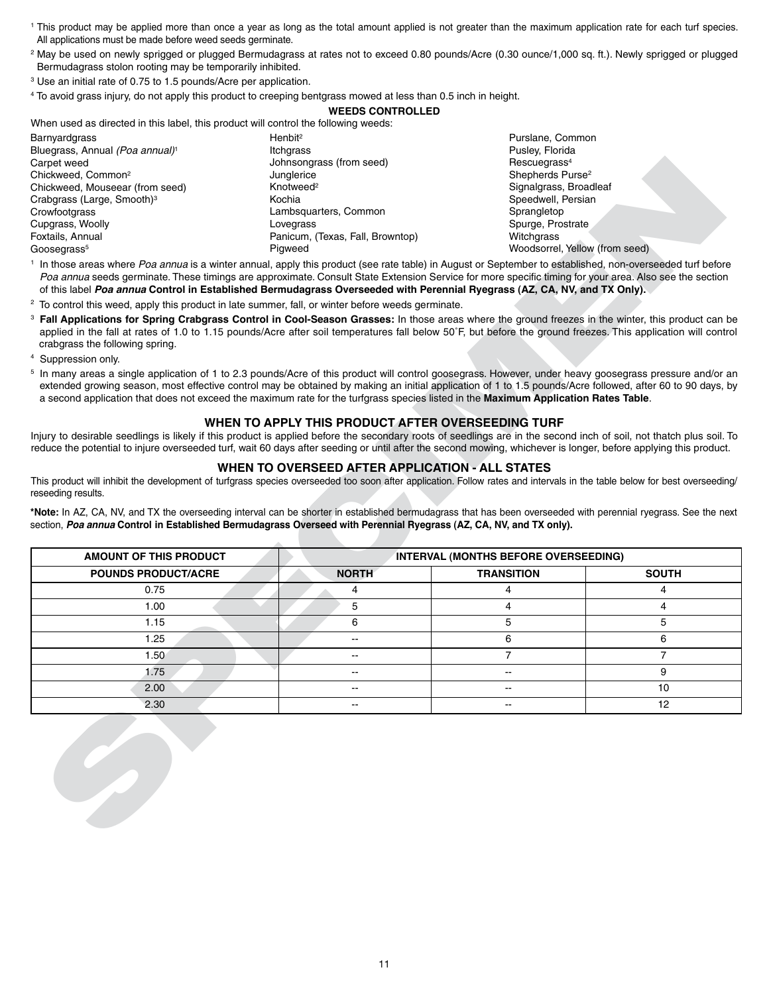- <sup>1</sup> This product may be applied more than once a year as long as the total amount applied is not greater than the maximum application rate for each turf species. All applications must be made before weed seeds germinate.
- <sup>2</sup> May be used on newly sprigged or plugged Bermudagrass at rates not to exceed 0.80 pounds/Acre (0.30 ounce/1,000 sq. ft.). Newly sprigged or plugged Bermudagrass stolon rooting may be temporarily inhibited.
- <sup>3</sup> Use an initial rate of 0.75 to 1.5 pounds/Acre per application.
- <sup>4</sup> To avoid grass injury, do not apply this product to creeping bentgrass mowed at less than 0.5 inch in height.

# **WEEDS CONTROLLED**

When used as directed in this label, this product will control the following weeds:

| Barnyardgrass                               | Henbit <sup>2</sup>              | Purslane, Common               |
|---------------------------------------------|----------------------------------|--------------------------------|
| Bluegrass, Annual (Poa annual) <sup>1</sup> | Itchgrass                        | Pusley, Florida                |
| Carpet weed                                 | Johnsongrass (from seed)         | Rescuegrass <sup>4</sup>       |
| Chickweed, Common <sup>2</sup>              | Junglerice                       | Shepherds Purse <sup>2</sup>   |
| Chickweed, Mouseear (from seed)             | Knotweed <sup>2</sup>            | Signalgrass, Broadleaf         |
| Crabgrass (Large, Smooth) <sup>3</sup>      | Kochia                           | Speedwell, Persian             |
| Crowfootgrass                               | Lambsquarters, Common            | Sprangletop                    |
| Cupgrass, Woolly                            | Lovegrass                        | Spurge, Prostrate              |
| Foxtails, Annual                            | Panicum, (Texas, Fall, Browntop) | Witchgrass                     |
| Goosegrass <sup>5</sup>                     | Piaweed                          | Woodsorrel, Yellow (from seed) |

- <sup>2</sup> To control this weed, apply this product in late summer, fall, or winter before weeds germinate.
- <sup>3</sup> **Fall Applications for Spring Crabgrass Control in Cool-Season Grasses:** In those areas where the ground freezes in the winter, this product can be applied in the fall at rates of 1.0 to 1.15 pounds/Acre after soil temperatures fall below 50˚F, but before the ground freezes. This application will control crabgrass the following spring.
- <sup>4</sup> Suppression only.
- <sup>5</sup> In many areas a single application of 1 to 2.3 pounds/Acre of this product will control goosegrass. However, under heavy goosegrass pressure and/or an extended growing season, most effective control may be obtained by making an initial application of 1 to 1.5 pounds/Acre followed, after 60 to 90 days, by a second application that does not exceed the maximum rate for the turfgrass species listed in the **Maximum Application Rates Table**.

# **WHEN TO APPLY THIS PRODUCT AFTER OVERSEEDING TURF**

# **WHEN TO OVERSEED AFTER APPLICATION - ALL STATES**

| Johnsongrass (from seed)                                                                                                                                                                                                                                                              | Rescuegrass <sup>4</sup>                                                                                  |                                                                                                                                                                                                                                                                                                                                                                                                                                                                                                                                                                                                                                                                                                                                                                                                                                                                                                                                                                                                                                                                                                                                                                                                                                                                                                                                                                                                                                                                                                                                                                                                                                                                                                                                                                                                                                                                                                                                                                                                                                                                                                                                                                 |
|---------------------------------------------------------------------------------------------------------------------------------------------------------------------------------------------------------------------------------------------------------------------------------------|-----------------------------------------------------------------------------------------------------------|-----------------------------------------------------------------------------------------------------------------------------------------------------------------------------------------------------------------------------------------------------------------------------------------------------------------------------------------------------------------------------------------------------------------------------------------------------------------------------------------------------------------------------------------------------------------------------------------------------------------------------------------------------------------------------------------------------------------------------------------------------------------------------------------------------------------------------------------------------------------------------------------------------------------------------------------------------------------------------------------------------------------------------------------------------------------------------------------------------------------------------------------------------------------------------------------------------------------------------------------------------------------------------------------------------------------------------------------------------------------------------------------------------------------------------------------------------------------------------------------------------------------------------------------------------------------------------------------------------------------------------------------------------------------------------------------------------------------------------------------------------------------------------------------------------------------------------------------------------------------------------------------------------------------------------------------------------------------------------------------------------------------------------------------------------------------------------------------------------------------------------------------------------------------|
| Junglerice                                                                                                                                                                                                                                                                            | Shepherds Purse <sup>2</sup>                                                                              |                                                                                                                                                                                                                                                                                                                                                                                                                                                                                                                                                                                                                                                                                                                                                                                                                                                                                                                                                                                                                                                                                                                                                                                                                                                                                                                                                                                                                                                                                                                                                                                                                                                                                                                                                                                                                                                                                                                                                                                                                                                                                                                                                                 |
|                                                                                                                                                                                                                                                                                       |                                                                                                           |                                                                                                                                                                                                                                                                                                                                                                                                                                                                                                                                                                                                                                                                                                                                                                                                                                                                                                                                                                                                                                                                                                                                                                                                                                                                                                                                                                                                                                                                                                                                                                                                                                                                                                                                                                                                                                                                                                                                                                                                                                                                                                                                                                 |
|                                                                                                                                                                                                                                                                                       |                                                                                                           |                                                                                                                                                                                                                                                                                                                                                                                                                                                                                                                                                                                                                                                                                                                                                                                                                                                                                                                                                                                                                                                                                                                                                                                                                                                                                                                                                                                                                                                                                                                                                                                                                                                                                                                                                                                                                                                                                                                                                                                                                                                                                                                                                                 |
|                                                                                                                                                                                                                                                                                       |                                                                                                           |                                                                                                                                                                                                                                                                                                                                                                                                                                                                                                                                                                                                                                                                                                                                                                                                                                                                                                                                                                                                                                                                                                                                                                                                                                                                                                                                                                                                                                                                                                                                                                                                                                                                                                                                                                                                                                                                                                                                                                                                                                                                                                                                                                 |
|                                                                                                                                                                                                                                                                                       |                                                                                                           |                                                                                                                                                                                                                                                                                                                                                                                                                                                                                                                                                                                                                                                                                                                                                                                                                                                                                                                                                                                                                                                                                                                                                                                                                                                                                                                                                                                                                                                                                                                                                                                                                                                                                                                                                                                                                                                                                                                                                                                                                                                                                                                                                                 |
| Pigweed                                                                                                                                                                                                                                                                               |                                                                                                           |                                                                                                                                                                                                                                                                                                                                                                                                                                                                                                                                                                                                                                                                                                                                                                                                                                                                                                                                                                                                                                                                                                                                                                                                                                                                                                                                                                                                                                                                                                                                                                                                                                                                                                                                                                                                                                                                                                                                                                                                                                                                                                                                                                 |
|                                                                                                                                                                                                                                                                                       |                                                                                                           |                                                                                                                                                                                                                                                                                                                                                                                                                                                                                                                                                                                                                                                                                                                                                                                                                                                                                                                                                                                                                                                                                                                                                                                                                                                                                                                                                                                                                                                                                                                                                                                                                                                                                                                                                                                                                                                                                                                                                                                                                                                                                                                                                                 |
|                                                                                                                                                                                                                                                                                       |                                                                                                           |                                                                                                                                                                                                                                                                                                                                                                                                                                                                                                                                                                                                                                                                                                                                                                                                                                                                                                                                                                                                                                                                                                                                                                                                                                                                                                                                                                                                                                                                                                                                                                                                                                                                                                                                                                                                                                                                                                                                                                                                                                                                                                                                                                 |
|                                                                                                                                                                                                                                                                                       |                                                                                                           |                                                                                                                                                                                                                                                                                                                                                                                                                                                                                                                                                                                                                                                                                                                                                                                                                                                                                                                                                                                                                                                                                                                                                                                                                                                                                                                                                                                                                                                                                                                                                                                                                                                                                                                                                                                                                                                                                                                                                                                                                                                                                                                                                                 |
|                                                                                                                                                                                                                                                                                       |                                                                                                           |                                                                                                                                                                                                                                                                                                                                                                                                                                                                                                                                                                                                                                                                                                                                                                                                                                                                                                                                                                                                                                                                                                                                                                                                                                                                                                                                                                                                                                                                                                                                                                                                                                                                                                                                                                                                                                                                                                                                                                                                                                                                                                                                                                 |
|                                                                                                                                                                                                                                                                                       |                                                                                                           |                                                                                                                                                                                                                                                                                                                                                                                                                                                                                                                                                                                                                                                                                                                                                                                                                                                                                                                                                                                                                                                                                                                                                                                                                                                                                                                                                                                                                                                                                                                                                                                                                                                                                                                                                                                                                                                                                                                                                                                                                                                                                                                                                                 |
|                                                                                                                                                                                                                                                                                       |                                                                                                           |                                                                                                                                                                                                                                                                                                                                                                                                                                                                                                                                                                                                                                                                                                                                                                                                                                                                                                                                                                                                                                                                                                                                                                                                                                                                                                                                                                                                                                                                                                                                                                                                                                                                                                                                                                                                                                                                                                                                                                                                                                                                                                                                                                 |
|                                                                                                                                                                                                                                                                                       |                                                                                                           |                                                                                                                                                                                                                                                                                                                                                                                                                                                                                                                                                                                                                                                                                                                                                                                                                                                                                                                                                                                                                                                                                                                                                                                                                                                                                                                                                                                                                                                                                                                                                                                                                                                                                                                                                                                                                                                                                                                                                                                                                                                                                                                                                                 |
|                                                                                                                                                                                                                                                                                       |                                                                                                           |                                                                                                                                                                                                                                                                                                                                                                                                                                                                                                                                                                                                                                                                                                                                                                                                                                                                                                                                                                                                                                                                                                                                                                                                                                                                                                                                                                                                                                                                                                                                                                                                                                                                                                                                                                                                                                                                                                                                                                                                                                                                                                                                                                 |
|                                                                                                                                                                                                                                                                                       |                                                                                                           |                                                                                                                                                                                                                                                                                                                                                                                                                                                                                                                                                                                                                                                                                                                                                                                                                                                                                                                                                                                                                                                                                                                                                                                                                                                                                                                                                                                                                                                                                                                                                                                                                                                                                                                                                                                                                                                                                                                                                                                                                                                                                                                                                                 |
|                                                                                                                                                                                                                                                                                       |                                                                                                           |                                                                                                                                                                                                                                                                                                                                                                                                                                                                                                                                                                                                                                                                                                                                                                                                                                                                                                                                                                                                                                                                                                                                                                                                                                                                                                                                                                                                                                                                                                                                                                                                                                                                                                                                                                                                                                                                                                                                                                                                                                                                                                                                                                 |
| *Note: In AZ, CA, NV, and TX the overseeding interval can be shorter in established bermudagrass that has been overseeded with perennial ryegrass. See the next<br>section, Poa annua Control in Established Bermudagrass Overseed with Perennial Ryegrass (AZ, CA, NV, and TX only). |                                                                                                           |                                                                                                                                                                                                                                                                                                                                                                                                                                                                                                                                                                                                                                                                                                                                                                                                                                                                                                                                                                                                                                                                                                                                                                                                                                                                                                                                                                                                                                                                                                                                                                                                                                                                                                                                                                                                                                                                                                                                                                                                                                                                                                                                                                 |
|                                                                                                                                                                                                                                                                                       | INTERVAL (MONTHS BEFORE OVERSEEDING)                                                                      |                                                                                                                                                                                                                                                                                                                                                                                                                                                                                                                                                                                                                                                                                                                                                                                                                                                                                                                                                                                                                                                                                                                                                                                                                                                                                                                                                                                                                                                                                                                                                                                                                                                                                                                                                                                                                                                                                                                                                                                                                                                                                                                                                                 |
| <b>NORTH</b>                                                                                                                                                                                                                                                                          | <b>TRANSITION</b>                                                                                         | <b>SOUTH</b>                                                                                                                                                                                                                                                                                                                                                                                                                                                                                                                                                                                                                                                                                                                                                                                                                                                                                                                                                                                                                                                                                                                                                                                                                                                                                                                                                                                                                                                                                                                                                                                                                                                                                                                                                                                                                                                                                                                                                                                                                                                                                                                                                    |
| 4                                                                                                                                                                                                                                                                                     | 4                                                                                                         | 4                                                                                                                                                                                                                                                                                                                                                                                                                                                                                                                                                                                                                                                                                                                                                                                                                                                                                                                                                                                                                                                                                                                                                                                                                                                                                                                                                                                                                                                                                                                                                                                                                                                                                                                                                                                                                                                                                                                                                                                                                                                                                                                                                               |
| 5                                                                                                                                                                                                                                                                                     | 4                                                                                                         | 4                                                                                                                                                                                                                                                                                                                                                                                                                                                                                                                                                                                                                                                                                                                                                                                                                                                                                                                                                                                                                                                                                                                                                                                                                                                                                                                                                                                                                                                                                                                                                                                                                                                                                                                                                                                                                                                                                                                                                                                                                                                                                                                                                               |
| 6                                                                                                                                                                                                                                                                                     | 5                                                                                                         | 5                                                                                                                                                                                                                                                                                                                                                                                                                                                                                                                                                                                                                                                                                                                                                                                                                                                                                                                                                                                                                                                                                                                                                                                                                                                                                                                                                                                                                                                                                                                                                                                                                                                                                                                                                                                                                                                                                                                                                                                                                                                                                                                                                               |
| н.                                                                                                                                                                                                                                                                                    |                                                                                                           | 6                                                                                                                                                                                                                                                                                                                                                                                                                                                                                                                                                                                                                                                                                                                                                                                                                                                                                                                                                                                                                                                                                                                                                                                                                                                                                                                                                                                                                                                                                                                                                                                                                                                                                                                                                                                                                                                                                                                                                                                                                                                                                                                                                               |
|                                                                                                                                                                                                                                                                                       | 6                                                                                                         |                                                                                                                                                                                                                                                                                                                                                                                                                                                                                                                                                                                                                                                                                                                                                                                                                                                                                                                                                                                                                                                                                                                                                                                                                                                                                                                                                                                                                                                                                                                                                                                                                                                                                                                                                                                                                                                                                                                                                                                                                                                                                                                                                                 |
| --<br>$\sim$ $\sim$                                                                                                                                                                                                                                                                   | 7                                                                                                         | 7                                                                                                                                                                                                                                                                                                                                                                                                                                                                                                                                                                                                                                                                                                                                                                                                                                                                                                                                                                                                                                                                                                                                                                                                                                                                                                                                                                                                                                                                                                                                                                                                                                                                                                                                                                                                                                                                                                                                                                                                                                                                                                                                                               |
|                                                                                                                                                                                                                                                                                       | $\mathord{\hspace{1pt}\text{--}\hspace{1pt}}$                                                             | 9                                                                                                                                                                                                                                                                                                                                                                                                                                                                                                                                                                                                                                                                                                                                                                                                                                                                                                                                                                                                                                                                                                                                                                                                                                                                                                                                                                                                                                                                                                                                                                                                                                                                                                                                                                                                                                                                                                                                                                                                                                                                                                                                                               |
| н.                                                                                                                                                                                                                                                                                    | ۰.                                                                                                        | 10                                                                                                                                                                                                                                                                                                                                                                                                                                                                                                                                                                                                                                                                                                                                                                                                                                                                                                                                                                                                                                                                                                                                                                                                                                                                                                                                                                                                                                                                                                                                                                                                                                                                                                                                                                                                                                                                                                                                                                                                                                                                                                                                                              |
| $\sim$                                                                                                                                                                                                                                                                                | --                                                                                                        | 12                                                                                                                                                                                                                                                                                                                                                                                                                                                                                                                                                                                                                                                                                                                                                                                                                                                                                                                                                                                                                                                                                                                                                                                                                                                                                                                                                                                                                                                                                                                                                                                                                                                                                                                                                                                                                                                                                                                                                                                                                                                                                                                                                              |
|                                                                                                                                                                                                                                                                                       | Knotweed <sup>2</sup><br>Kochia<br>Lambsquarters, Common<br>Lovegrass<br>Panicum, (Texas, Fall, Browntop) | Signalgrass, Broadleaf<br>Speedwell, Persian<br>Sprangletop<br>Spurge, Prostrate<br>Witchgrass<br>Woodsorrel, Yellow (from seed)<br><sup>1</sup> In those areas where Poa annua is a winter annual, apply this product (see rate table) in August or September to established, non-overseeded turf before<br>Poa annua seeds germinate. These timings are approximate. Consult State Extension Service for more specific timing for your area. Also see the section<br>of this label Poa annua Control in Established Bermudagrass Overseeded with Perennial Ryegrass (AZ, CA, NV, and TX Only).<br><sup>2</sup> To control this weed, apply this product in late summer, fall, or winter before weeds germinate.<br><sup>3</sup> Fall Applications for Spring Crabgrass Control in Cool-Season Grasses: In those areas where the ground freezes in the winter, this product can be<br>applied in the fall at rates of 1.0 to 1.15 pounds/Acre after soil temperatures fall below 50°F, but before the ground freezes. This application will control<br><sup>5</sup> In many areas a single application of 1 to 2.3 pounds/Acre of this product will control goosegrass. However, under heavy goosegrass pressure and/or an<br>extended growing season, most effective control may be obtained by making an initial application of 1 to 1.5 pounds/Acre followed, after 60 to 90 days, by<br>a second application that does not exceed the maximum rate for the turfgrass species listed in the Maximum Application Rates Table.<br>WHEN TO APPLY THIS PRODUCT AFTER OVERSEEDING TURF<br>Injury to desirable seedlings is likely if this product is applied before the secondary roots of seedlings are in the second inch of soil, not thatch plus soil. To<br>reduce the potential to injure overseeded turf, wait 60 days after seeding or until after the second mowing, whichever is longer, before applying this product.<br>WHEN TO OVERSEED AFTER APPLICATION - ALL STATES<br>This product will inhibit the development of turfgrass species overseeded too soon after application. Follow rates and intervals in the table below for best overseeding/ |